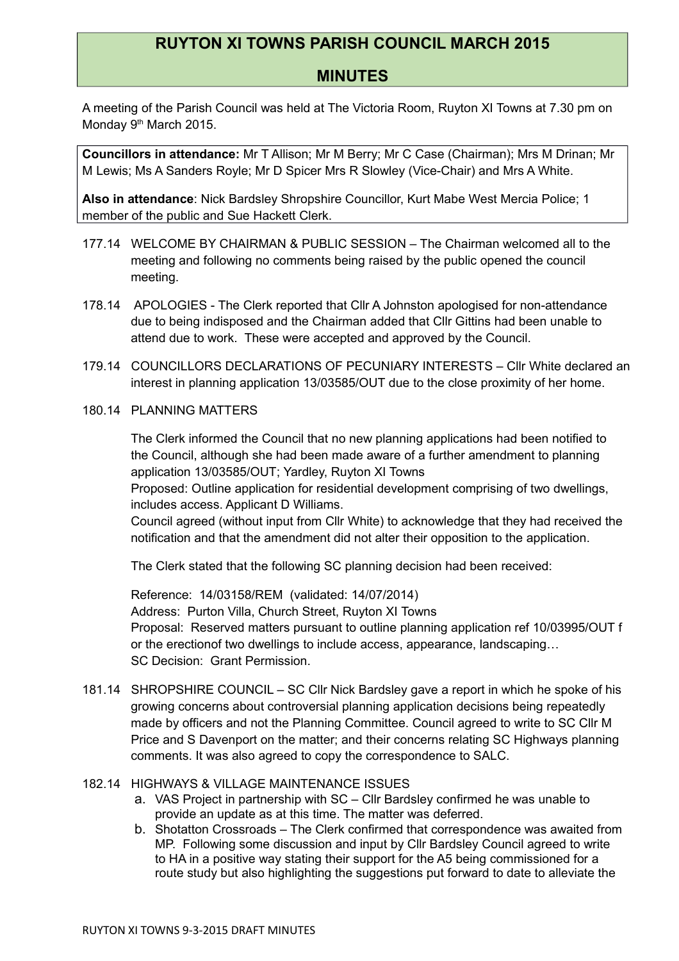## **RUYTON XI TOWNS PARISH COUNCIL MARCH 2015**

## **MINUTES**

A meeting of the Parish Council was held at The Victoria Room, Ruyton XI Towns at 7.30 pm on Monday 9<sup>th</sup> March 2015.

**Councillors in attendance:** Mr T Allison; Mr M Berry; Mr C Case (Chairman); Mrs M Drinan; Mr M Lewis; Ms A Sanders Royle; Mr D Spicer Mrs R Slowley (Vice-Chair) and Mrs A White.

**Also in attendance**: Nick Bardsley Shropshire Councillor, Kurt Mabe West Mercia Police; 1 member of the public and Sue Hackett Clerk.

- 177.14 WELCOME BY CHAIRMAN & PUBLIC SESSION The Chairman welcomed all to the meeting and following no comments being raised by the public opened the council meeting.
- 178.14 APOLOGIES The Clerk reported that Cllr A Johnston apologised for non-attendance due to being indisposed and the Chairman added that Cllr Gittins had been unable to attend due to work. These were accepted and approved by the Council.
- 179.14 COUNCILLORS DECLARATIONS OF PECUNIARY INTERESTS Cllr White declared an interest in planning application 13/03585/OUT due to the close proximity of her home.
- 180.14 PLANNING MATTERS

The Clerk informed the Council that no new planning applications had been notified to the Council, although she had been made aware of a further amendment to planning application 13/03585/OUT; Yardley, Ruyton XI Towns

Proposed: Outline application for residential development comprising of two dwellings, includes access. Applicant D Williams.

Council agreed (without input from Cllr White) to acknowledge that they had received the notification and that the amendment did not alter their opposition to the application.

The Clerk stated that the following SC planning decision had been received:

Reference: 14/03158/REM (validated: 14/07/2014) Address: Purton Villa, Church Street, Ruyton XI Towns Proposal: Reserved matters pursuant to outline planning application ref 10/03995/OUT f or the erectionof two dwellings to include access, appearance, landscaping… SC Decision: Grant Permission.

181.14 SHROPSHIRE COUNCIL – SC Cllr Nick Bardsley gave a report in which he spoke of his growing concerns about controversial planning application decisions being repeatedly made by officers and not the Planning Committee. Council agreed to write to SC Cllr M Price and S Davenport on the matter; and their concerns relating SC Highways planning comments. It was also agreed to copy the correspondence to SALC.

## 182.14 HIGHWAYS & VILLAGE MAINTENANCE ISSUES

- a. VAS Project in partnership with SC Cllr Bardsley confirmed he was unable to provide an update as at this time. The matter was deferred.
- b. Shotatton Crossroads The Clerk confirmed that correspondence was awaited from MP. Following some discussion and input by Cllr Bardsley Council agreed to write to HA in a positive way stating their support for the A5 being commissioned for a route study but also highlighting the suggestions put forward to date to alleviate the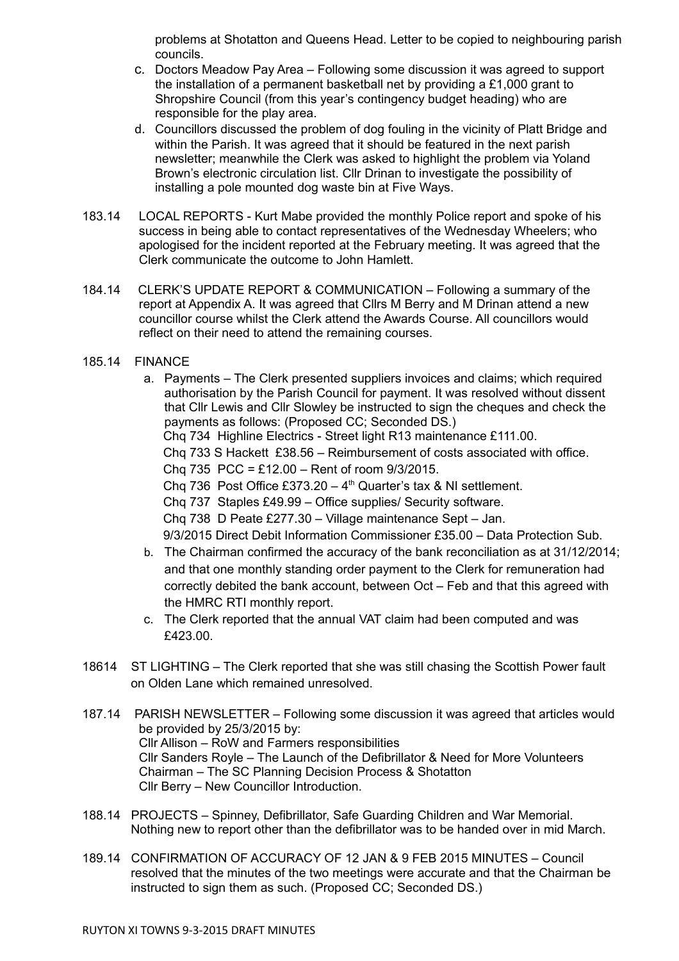problems at Shotatton and Queens Head. Letter to be copied to neighbouring parish councils.

- c. Doctors Meadow Pay Area Following some discussion it was agreed to support the installation of a permanent basketball net by providing a £1,000 grant to Shropshire Council (from this year's contingency budget heading) who are responsible for the play area.
- d. Councillors discussed the problem of dog fouling in the vicinity of Platt Bridge and within the Parish. It was agreed that it should be featured in the next parish newsletter; meanwhile the Clerk was asked to highlight the problem via Yoland Brown's electronic circulation list. Cllr Drinan to investigate the possibility of installing a pole mounted dog waste bin at Five Ways.
- 183.14 LOCAL REPORTS Kurt Mabe provided the monthly Police report and spoke of his success in being able to contact representatives of the Wednesday Wheelers; who apologised for the incident reported at the February meeting. It was agreed that the Clerk communicate the outcome to John Hamlett.
- 184.14 CLERK'S UPDATE REPORT & COMMUNICATION Following a summary of the report at Appendix A. It was agreed that Cllrs M Berry and M Drinan attend a new councillor course whilst the Clerk attend the Awards Course. All councillors would reflect on their need to attend the remaining courses.
- 185.14 FINANCE
	- a. Payments The Clerk presented suppliers invoices and claims; which required authorisation by the Parish Council for payment. It was resolved without dissent that Cllr Lewis and Cllr Slowley be instructed to sign the cheques and check the payments as follows: (Proposed CC; Seconded DS.)
		- Chq 734 Highline Electrics Street light R13 maintenance £111.00.
		- Chq 733 S Hackett £38.56 Reimbursement of costs associated with office.
		- Cha 735 PCC = £12.00 Rent of room  $9/3/2015$ .
		- Chq 736 Post Office £373.20  $4<sup>th</sup>$  Quarter's tax & NI settlement.
		- Chq 737 Staples £49.99 Office supplies/ Security software.
		- Chq 738 D Peate £277.30 Village maintenance Sept Jan.
		- 9/3/2015 Direct Debit Information Commissioner £35.00 Data Protection Sub.
	- b. The Chairman confirmed the accuracy of the bank reconciliation as at 31/12/2014; and that one monthly standing order payment to the Clerk for remuneration had correctly debited the bank account, between Oct – Feb and that this agreed with the HMRC RTI monthly report.
	- c. The Clerk reported that the annual VAT claim had been computed and was £423.00.
- 18614 ST LIGHTING The Clerk reported that she was still chasing the Scottish Power fault on Olden Lane which remained unresolved.
- 187.14 PARISH NEWSLETTER Following some discussion it was agreed that articles would be provided by 25/3/2015 by: Cllr Allison – RoW and Farmers responsibilities Cllr Sanders Royle – The Launch of the Defibrillator & Need for More Volunteers Chairman – The SC Planning Decision Process & Shotatton Cllr Berry – New Councillor Introduction.
- 188.14 PROJECTS Spinney, Defibrillator, Safe Guarding Children and War Memorial. Nothing new to report other than the defibrillator was to be handed over in mid March.
- 189.14 CONFIRMATION OF ACCURACY OF 12 JAN & 9 FEB 2015 MINUTES Council resolved that the minutes of the two meetings were accurate and that the Chairman be instructed to sign them as such. (Proposed CC; Seconded DS.)